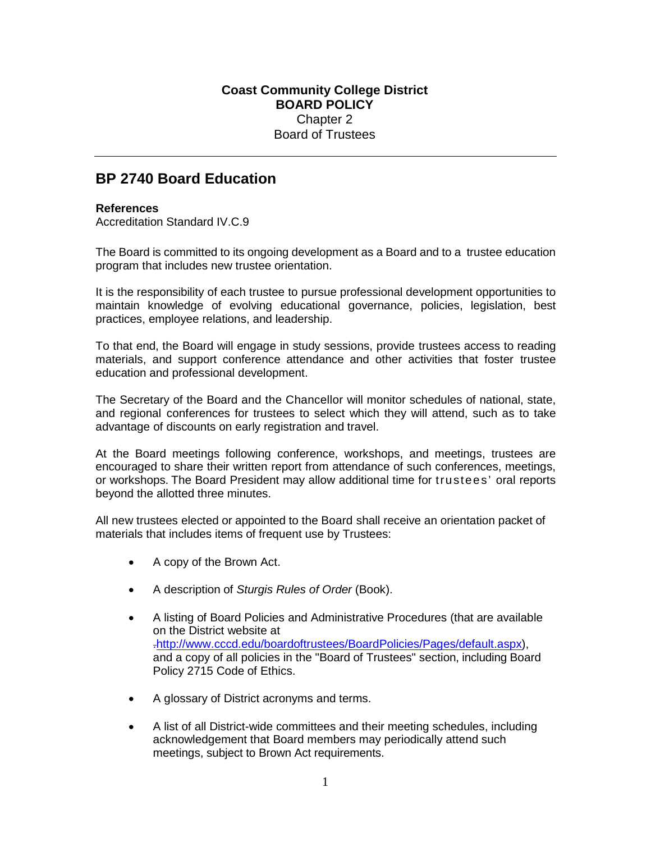## **Coast Community College District BOARD POLICY** Chapter 2 Board of Trustees

## **BP 2740 Board Education**

## **References**

Accreditation Standard IV.C.9

The Board is committed to its ongoing development as a Board and to a trustee education program that includes new trustee orientation.

It is the responsibility of each trustee to pursue professional development opportunities to maintain knowledge of evolving educational governance, policies, legislation, best practices, employee relations, and leadership.

To that end, the Board will engage in study sessions, provide trustees access to reading materials, and support conference attendance and other activities that foster trustee education and professional development.

The Secretary of the Board and the Chancellor will monitor schedules of national, state, and regional conferences for trustees to select which they will attend, such as to take advantage of discounts on early registration and travel.

At the Board meetings following conference, workshops, and meetings, trustees are encouraged to share their written report from attendance of such conferences, meetings, or workshops. The Board President may allow additional time for trustees' oral reports beyond the allotted three minutes.

All new trustees elected or appointed to the Board shall receive an orientation packet of materials that includes items of frequent use by Trustees:

- A copy of the Brown Act.
- A description of *Sturgis Rules of Order* (Book).
- A listing of Board Policies and Administrative Procedures (that are available on the District website at .http://www.cccd.edu/boardoftrustees/BoardPolicies/Pages/default.aspx), and a copy of all policies in the "Board of Trustees" section, including Board Policy 2715 Code of Ethics.
- A glossary of District acronyms and terms.
- A list of all District-wide committees and their meeting schedules, including acknowledgement that Board members may periodically attend such meetings, subject to Brown Act requirements.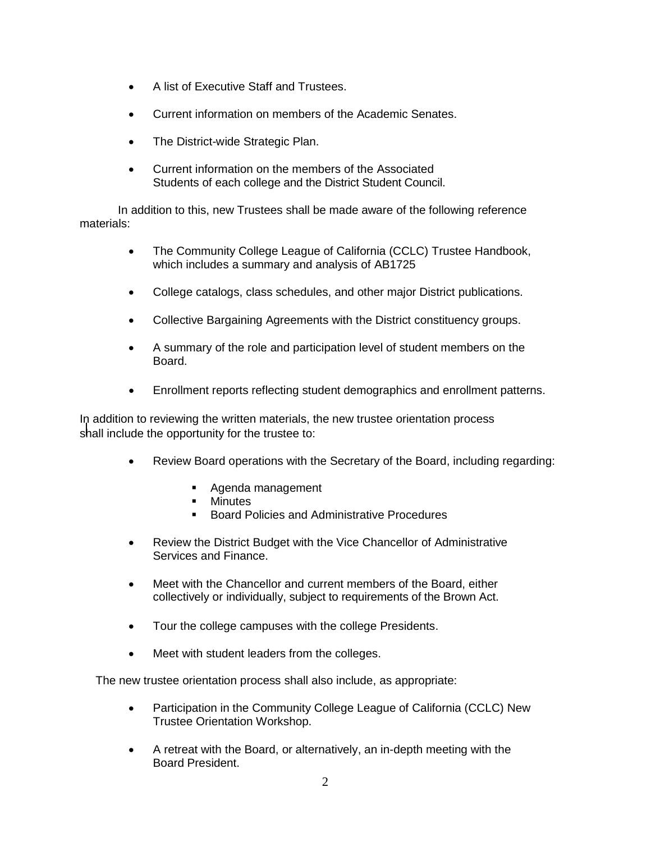- A list of Executive Staff and Trustees.
- Current information on members of the Academic Senates.
- The District-wide Strategic Plan.
- Current information on the members of the Associated Students of each college and the District Student Council.

 In addition to this, new Trustees shall be made aware of the following reference materials:

- The Community College League of California (CCLC) Trustee Handbook, which includes a summary and analysis of AB1725
- College catalogs, class schedules, and other major District publications.
- Collective Bargaining Agreements with the District constituency groups.
- A summary of the role and participation level of student members on the Board.
- Enrollment reports reflecting student demographics and enrollment patterns.

In addition to reviewing the written materials, the new trustee orientation process shall include the opportunity for the trustee to:

- Review Board operations with the Secretary of the Board, including regarding:
	- **Agenda management**
	- **-** Minutes
	- Board Policies and Administrative Procedures
- Review the District Budget with the Vice Chancellor of Administrative Services and Finance.
- Meet with the Chancellor and current members of the Board, either collectively or individually, subject to requirements of the Brown Act.
- Tour the college campuses with the college Presidents.
- Meet with student leaders from the colleges.

The new trustee orientation process shall also include, as appropriate:

- Participation in the Community College League of California (CCLC) New Trustee Orientation Workshop.
- A retreat with the Board, or alternatively, an in-depth meeting with the Board President.